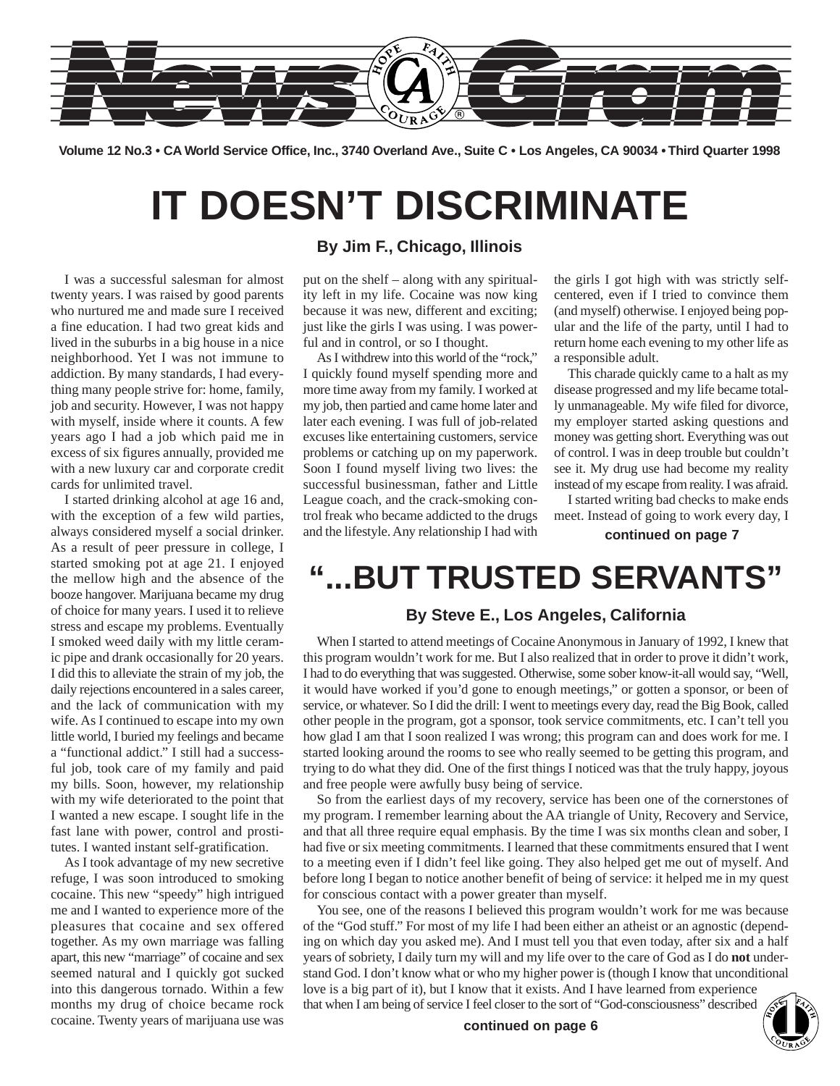

**Volume 12 No.3 • CA World Service Office, Inc., 3740 Overland Ave., Suite C • Los Angeles, CA 90034 • Third Quarter 1998**

# **IT DOESN'T DISCRIMINATE**

I was a successful salesman for almost twenty years. I was raised by good parents who nurtured me and made sure I received a fine education. I had two great kids and lived in the suburbs in a big house in a nice neighborhood. Yet I was not immune to addiction. By many standards, I had everything many people strive for: home, family, job and security. However, I was not happy with myself, inside where it counts. A few years ago I had a job which paid me in excess of six figures annually, provided me with a new luxury car and corporate credit cards for unlimited travel.

I started drinking alcohol at age 16 and, with the exception of a few wild parties, always considered myself a social drinker. As a result of peer pressure in college, I started smoking pot at age 21. I enjoyed the mellow high and the absence of the booze hangover. Marijuana became my drug of choice for many years. I used it to relieve stress and escape my problems. Eventually I smoked weed daily with my little ceramic pipe and drank occasionally for 20 years. I did this to alleviate the strain of my job, the daily rejections encountered in a sales career, and the lack of communication with my wife. As I continued to escape into my own little world, I buried my feelings and became a "functional addict." I still had a successful job, took care of my family and paid my bills. Soon, however, my relationship with my wife deteriorated to the point that I wanted a new escape. I sought life in the fast lane with power, control and prostitutes. I wanted instant self-gratification.

As I took advantage of my new secretive refuge, I was soon introduced to smoking cocaine. This new "speedy" high intrigued me and I wanted to experience more of the pleasures that cocaine and sex offered together. As my own marriage was falling apart, this new "marriage" of cocaine and sex seemed natural and I quickly got sucked into this dangerous tornado. Within a few months my drug of choice became rock cocaine. Twenty years of marijuana use was

#### **By Jim F., Chicago, Illinois**

put on the shelf – along with any spirituality left in my life. Cocaine was now king because it was new, different and exciting; just like the girls I was using. I was powerful and in control, or so I thought.

As I withdrew into this world of the "rock," I quickly found myself spending more and more time away from my family. I worked at my job, then partied and came home later and later each evening. I was full of job-related excuses like entertaining customers, service problems or catching up on my paperwork. Soon I found myself living two lives: the successful businessman, father and Little League coach, and the crack-smoking control freak who became addicted to the drugs and the lifestyle. Any relationship I had with the girls I got high with was strictly selfcentered, even if I tried to convince them (and myself) otherwise. I enjoyed being popular and the life of the party, until I had to return home each evening to my other life as a responsible adult.

This charade quickly came to a halt as my disease progressed and my life became totally unmanageable. My wife filed for divorce, my employer started asking questions and money was getting short. Everything was out of control. I was in deep trouble but couldn't see it. My drug use had become my reality instead of my escape from reality. I was afraid.

I started writing bad checks to make ends meet. Instead of going to work every day, I

**continued on page 7**

## **"...BUT TRUSTED SERVANTS"**

#### **By Steve E., Los Angeles, California**

When I started to attend meetings of Cocaine Anonymous in January of 1992, I knew that this program wouldn't work for me. But I also realized that in order to prove it didn't work, I had to do everything that was suggested. Otherwise, some sober know-it-all would say, "Well, it would have worked if you'd gone to enough meetings," or gotten a sponsor, or been of service, or whatever. So I did the drill: I went to meetings every day, read the Big Book, called other people in the program, got a sponsor, took service commitments, etc. I can't tell you how glad I am that I soon realized I was wrong; this program can and does work for me. I started looking around the rooms to see who really seemed to be getting this program, and trying to do what they did. One of the first things I noticed was that the truly happy, joyous and free people were awfully busy being of service.

So from the earliest days of my recovery, service has been one of the cornerstones of my program. I remember learning about the AA triangle of Unity, Recovery and Service, and that all three require equal emphasis. By the time I was six months clean and sober, I had five or six meeting commitments. I learned that these commitments ensured that I went to a meeting even if I didn't feel like going. They also helped get me out of myself. And before long I began to notice another benefit of being of service: it helped me in my quest for conscious contact with a power greater than myself.

You see, one of the reasons I believed this program wouldn't work for me was because of the "God stuff." For most of my life I had been either an atheist or an agnostic (depending on which day you asked me). And I must tell you that even today, after six and a half years of sobriety, I daily turn my will and my life over to the care of God as I do **not** understand God. I don't know what or who my higher power is (though I know that unconditional love is a big part of it), but I know that it exists. And I have learned from experience

that when I am being of service I feel closer to the sort of "God-consciousness" described

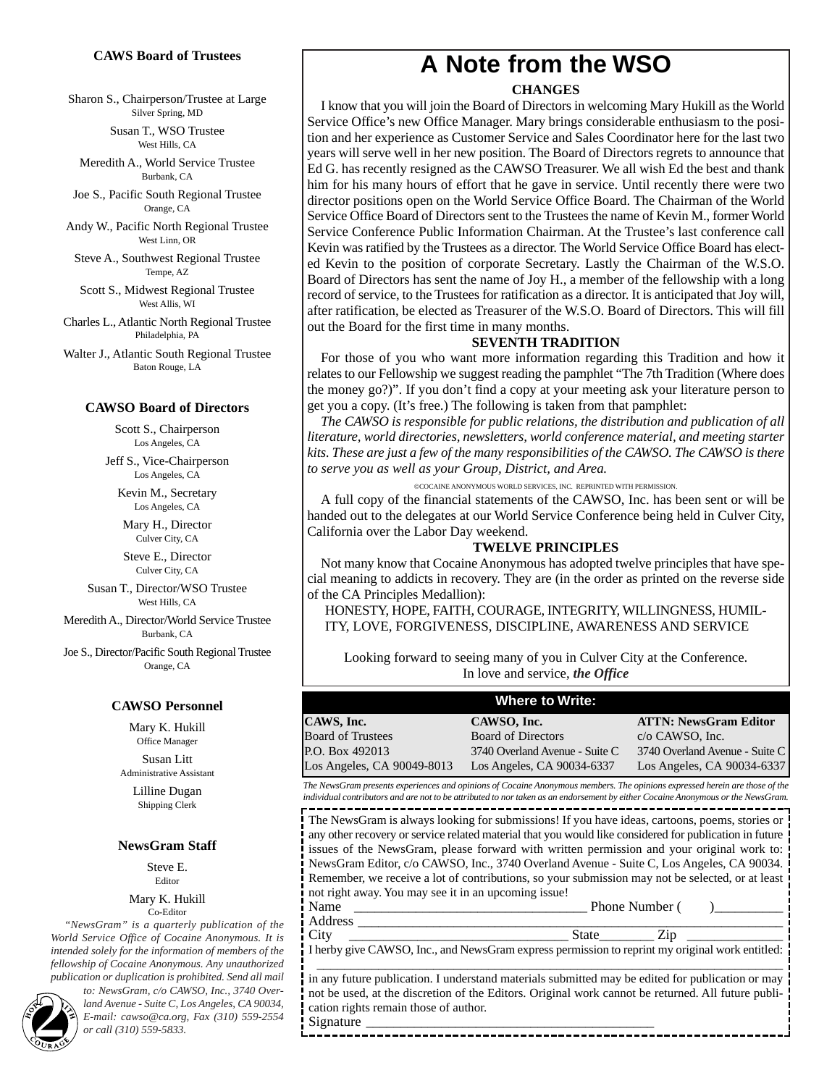#### **CAWS Board of Trustees**

Sharon S., Chairperson/Trustee at Large Silver Spring, MD

> Susan T., WSO Trustee West Hills, CA

Meredith A., World Service Trustee Burbank, CA

Joe S., Pacific South Regional Trustee Orange, CA

Andy W., Pacific North Regional Trustee West Linn, OR

Steve A., Southwest Regional Trustee Tempe, AZ

Scott S., Midwest Regional Trustee West Allis, WI

Charles L., Atlantic North Regional Trustee Philadelphia, PA

Walter J., Atlantic South Regional Trustee Baton Rouge, LA

#### **CAWSO Board of Directors**

Scott S., Chairperson Los Angeles, CA

Jeff S., Vice-Chairperson Los Angeles, CA

Kevin M., Secretary Los Angeles, CA

Mary H., Director Culver City, CA

Steve E., Director Culver City, CA

Susan T., Director/WSO Trustee West Hills, CA

Meredith A., Director/World Service Trustee Burbank, CA

Joe S., Director/Pacific South Regional Trustee Orange, CA

#### **CAWSO Personnel**

Mary K. Hukill Office Manager

Susan Litt Administrative Assistant

Lilline Dugan Shipping Clerk

#### **NewsGram Staff**

Steve E. Editor

Mary K. Hukill Co-Editor

*"NewsGram" is a quarterly publication of the World Service Office of Cocaine Anonymous. It is intended solely for the information of members of the fellowship of Cocaine Anonymous. Any unauthorized publication or duplication is prohibited. Send all mail*

*to: NewsGram, c/o CAWSO, Inc., 3740 Overland Avenue - Suite C, Los Angeles, CA 90034, E-mail: cawso CAWSO, Inc., 3740 Overland Avenue - Suite C, Los Angeles, CA 90034,*<br> *E-mail: cawso* @ca.org, *Fax (310) 559-2554*<br> *2 or call (310) 559-5833.* 

### **A Note from the WSO**

#### **CHANGES**

I know that you will join the Board of Directors in welcoming Mary Hukill as the World Service Office's new Office Manager. Mary brings considerable enthusiasm to the position and her experience as Customer Service and Sales Coordinator here for the last two years will serve well in her new position. The Board of Directors regrets to announce that Ed G. has recently resigned as the CAWSO Treasurer. We all wish Ed the best and thank him for his many hours of effort that he gave in service. Until recently there were two director positions open on the World Service Office Board. The Chairman of the World Service Office Board of Directors sent to the Trustees the name of Kevin M., former World Service Conference Public Information Chairman. At the Trustee's last conference call Kevin was ratified by the Trustees as a director. The World Service Office Board has elected Kevin to the position of corporate Secretary. Lastly the Chairman of the W.S.O. Board of Directors has sent the name of Joy H., a member of the fellowship with a long record of service, to the Trustees for ratification as a director. It is anticipated that Joy will, after ratification, be elected as Treasurer of the W.S.O. Board of Directors. This will fill out the Board for the first time in many months.

#### **SEVENTH TRADITION**

For those of you who want more information regarding this Tradition and how it relates to our Fellowship we suggest reading the pamphlet "The 7th Tradition (Where does the money go?)". If you don't find a copy at your meeting ask your literature person to get you a copy. (It's free.) The following is taken from that pamphlet:

*The CAWSO is responsible for public relations, the distribution and publication of all literature, world directories, newsletters, world conference material, and meeting starter kits. These are just a few of the many responsibilities of the CAWSO. The CAWSO is there to serve you as well as your Group, District, and Area.*

©COCAINE ANONYMOUS WORLD SERVICES, INC. REPRINTED WITH PERMISSION.

A full copy of the financial statements of the CAWSO, Inc. has been sent or will be handed out to the delegates at our World Service Conference being held in Culver City, California over the Labor Day weekend.

#### **TWELVE PRINCIPLES**

Not many know that Cocaine Anonymous has adopted twelve principles that have special meaning to addicts in recovery. They are (in the order as printed on the reverse side of the CA Principles Medallion):

HONESTY, HOPE, FAITH, COURAGE, INTEGRITY, WILLINGNESS, HUMIL-ITY, LOVE, FORGIVENESS, DISCIPLINE, AWARENESS AND SERVICE

Looking forward to seeing many of you in Culver City at the Conference. In love and service, *the Office*

| <b>Where to Write:</b>     |                                |                                |  |  |
|----------------------------|--------------------------------|--------------------------------|--|--|
| CAWS, Inc.                 | CAWSO, Inc.                    | <b>ATTN: NewsGram Editor</b>   |  |  |
| <b>Board of Trustees</b>   | <b>Board of Directors</b>      | $c/o$ CAWSO, Inc.              |  |  |
| P.O. Box 492013            | 3740 Overland Avenue - Suite C | 3740 Overland Avenue - Suite C |  |  |
| Los Angeles, CA 90049-8013 | Los Angeles, CA 90034-6337     | Los Angeles, CA 90034-6337     |  |  |

*The NewsGram presents experiences and opinions of Cocaine Anonymous members. The opinions expressed herein are those of the individual contributors and are not to be attributed to nor taken as an endorsement by either Cocaine Anonymous or the NewsGram.* -----------------------

The NewsGram is always looking for submissions! If you have ideas, cartoons, poems, stories or any other recovery or service related material that you would like considered for publication in future issues of the NewsGram, please forward with written permission and your original work to: NewsGram Editor, c/o CAWSO, Inc., 3740 Overland Avenue - Suite C, Los Angeles, CA 90034. Remember, we receive a lot of contributions, so your submission may not be selected, or at least not right away. You may see it in an upcoming issue!

Name \_\_\_\_\_\_\_\_\_\_\_\_\_\_\_\_\_\_\_\_\_\_\_\_\_\_\_\_\_\_\_\_\_\_ Phone Number ( )\_\_\_\_\_\_\_\_\_\_ Address \_\_\_\_\_\_\_\_\_\_\_\_\_\_\_\_\_\_\_\_\_\_\_\_\_\_\_\_\_\_\_\_\_\_\_\_\_\_\_\_\_\_\_\_\_\_\_\_\_\_\_\_\_\_\_\_\_\_\_\_\_\_

City \_\_\_\_\_\_\_\_\_\_\_\_\_\_\_\_\_\_\_\_\_\_\_\_\_\_\_\_\_\_\_\_ State\_\_\_\_\_\_\_\_ Zip \_\_\_\_\_\_\_\_\_\_\_\_\_\_ I herby give CAWSO, Inc., and NewsGram express permission to reprint my original work entitled: \_\_\_\_\_\_\_\_\_\_\_\_\_\_\_\_\_\_\_\_\_\_\_\_\_\_\_\_\_\_\_\_\_\_\_\_\_\_\_\_\_\_\_\_\_\_\_\_\_\_\_\_\_\_\_\_\_\_\_\_\_\_\_\_\_\_\_\_

in any future publication. I understand materials submitted may be edited for publication or may not be used, at the discretion of the Editors. Original work cannot be returned. All future publication rights remain those of author.

-----------------------------------

Signature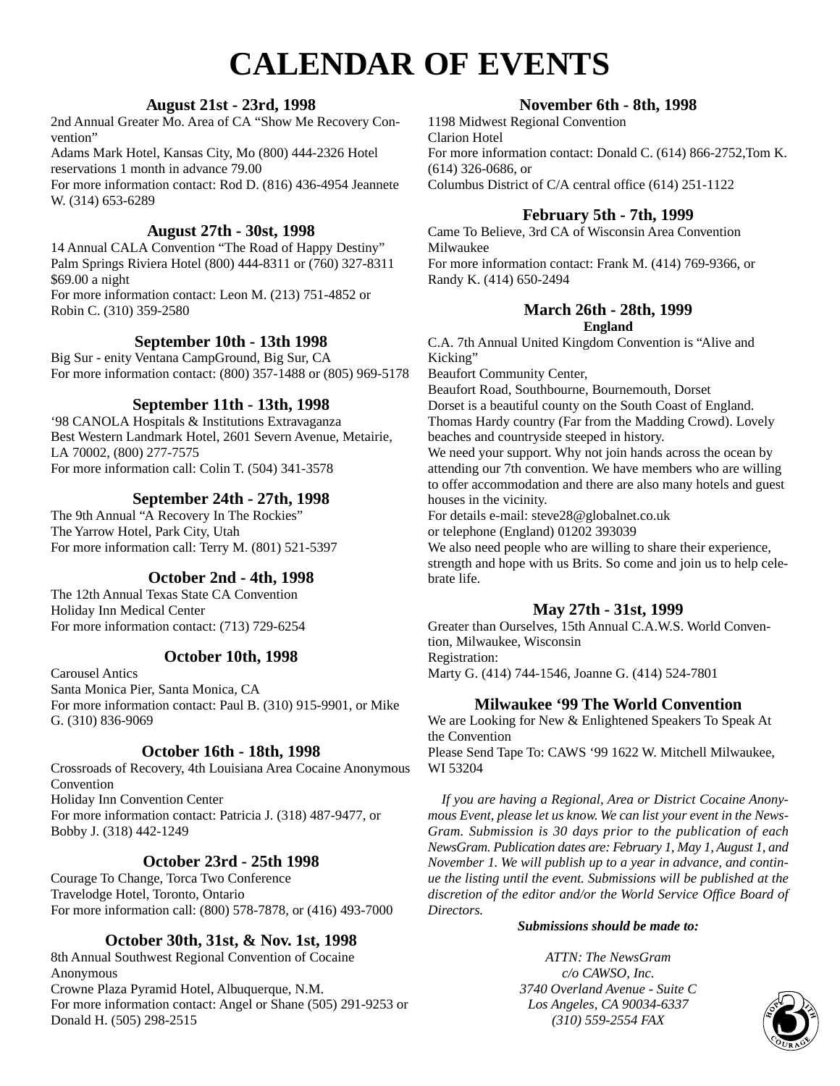## **CALENDAR OF EVENTS**

#### **August 21st - 23rd, 1998**

2nd Annual Greater Mo. Area of CA "Show Me Recovery Convention"

Adams Mark Hotel, Kansas City, Mo (800) 444-2326 Hotel reservations 1 month in advance 79.00 For more information contact: Rod D. (816) 436-4954 Jeannete

W. (314) 653-6289

#### **August 27th - 30st, 1998**

14 Annual CALA Convention "The Road of Happy Destiny" Palm Springs Riviera Hotel (800) 444-8311 or (760) 327-8311 \$69.00 a night For more information contact: Leon M. (213) 751-4852 or Robin C. (310) 359-2580

#### **September 10th - 13th 1998**

Big Sur - enity Ventana CampGround, Big Sur, CA For more information contact: (800) 357-1488 or (805) 969-5178

#### **September 11th - 13th, 1998**

'98 CANOLA Hospitals & Institutions Extravaganza Best Western Landmark Hotel, 2601 Severn Avenue, Metairie, LA 70002, (800) 277-7575 For more information call: Colin T. (504) 341-3578

#### **September 24th - 27th, 1998**

The 9th Annual "A Recovery In The Rockies" The Yarrow Hotel, Park City, Utah For more information call: Terry M. (801) 521-5397

#### **October 2nd - 4th, 1998**

The 12th Annual Texas State CA Convention Holiday Inn Medical Center For more information contact: (713) 729-6254

#### **October 10th, 1998**

Carousel Antics Santa Monica Pier, Santa Monica, CA For more information contact: Paul B. (310) 915-9901, or Mike G. (310) 836-9069

#### **October 16th - 18th, 1998**

Crossroads of Recovery, 4th Louisiana Area Cocaine Anonymous Convention Holiday Inn Convention Center For more information contact: Patricia J. (318) 487-9477, or Bobby J. (318) 442-1249

#### **October 23rd - 25th 1998**

Courage To Change, Torca Two Conference Travelodge Hotel, Toronto, Ontario For more information call: (800) 578-7878, or (416) 493-7000

#### **October 30th, 31st, & Nov. 1st, 1998**

8th Annual Southwest Regional Convention of Cocaine Anonymous Crowne Plaza Pyramid Hotel, Albuquerque, N.M. For more information contact: Angel or Shane (505) 291-9253 or Donald H. (505) 298-2515

#### **November 6th - 8th, 1998**

1198 Midwest Regional Convention Clarion Hotel For more information contact: Donald C. (614) 866-2752,Tom K. (614) 326-0686, or Columbus District of C/A central office (614) 251-1122

#### **February 5th - 7th, 1999**

Came To Believe, 3rd CA of Wisconsin Area Convention Milwaukee For more information contact: Frank M. (414) 769-9366, or Randy K. (414) 650-2494

#### **March 26th - 28th, 1999 England**

C.A. 7th Annual United Kingdom Convention is "Alive and Kicking"

Beaufort Community Center,

Beaufort Road, Southbourne, Bournemouth, Dorset Dorset is a beautiful county on the South Coast of England. Thomas Hardy country (Far from the Madding Crowd). Lovely beaches and countryside steeped in history.

We need your support. Why not join hands across the ocean by attending our 7th convention. We have members who are willing to offer accommodation and there are also many hotels and guest houses in the vicinity.

For details e-mail: steve28@globalnet.co.uk

or telephone (England) 01202 393039

We also need people who are willing to share their experience, strength and hope with us Brits. So come and join us to help celebrate life.

#### **May 27th - 31st, 1999**

Greater than Ourselves, 15th Annual C.A.W.S. World Convention, Milwaukee, Wisconsin Registration:

Marty G. (414) 744-1546, Joanne G. (414) 524-7801

#### **Milwaukee '99 The World Convention**

We are Looking for New & Enlightened Speakers To Speak At the Convention Please Send Tape To: CAWS '99 1622 W. Mitchell Milwaukee, WI 53204

*If you are having a Regional, Area or District Cocaine Anonymous Event, please let us know. We can list your event in the News-Gram. Submission is 30 days prior to the publication of each NewsGram. Publication dates are: February 1, May 1, August 1, and November 1. We will publish up to a year in advance, and continue the listing until the event. Submissions will be published at the discretion of the editor and/or the World Service Office Board of Directors.*

#### *Submissions should be made to:*

*ATTN: The NewsGram c/o CAWSO, Inc. 3740 Overland Avenue - Suite C Los Angeles, CA 90034-6337 C (310) S59-2554 FAX* **337 337 310 359-2554 FAX 337 328 328 337 328 337 337 337 337 337 337 337 337 337 337 337 337 337 337 337 337 337 337 337 337 337 337**

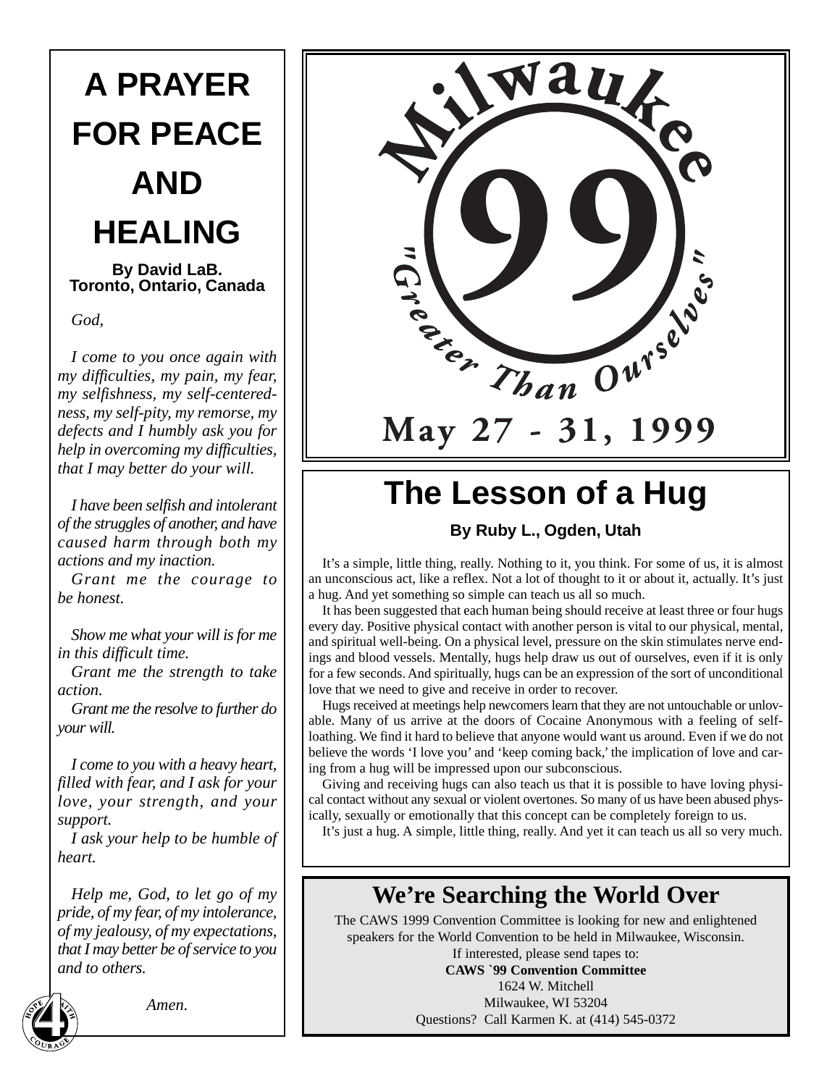# **A PRAYER FOR PEACE AND HEALING**

**By David LaB. Toronto, Ontario, Canada**

*God,*

*I come to you once again with my difficulties, my pain, my fear, my selfishness, my self-centeredness, my self-pity, my remorse, my defects and I humbly ask you for help in overcoming my difficulties, that I may better do your will.*

*I have been selfish and intolerant of the struggles of another, and have caused harm through both my actions and my inaction.*

*Grant me the courage to be honest.*

*Show me what your will is for me in this difficult time.*

*Grant me the strength to take action.*

*Grant me the resolve to further do your will.*

*I come to you with a heavy heart, filled with fear, and I ask for your love, your strength, and your support.*

*I ask your help to be humble of heart.*

*Help me, God, to let go of my pride, of my fear, of my intolerance, of my jealousy, of my expectations, that I may better be of service to you and to others.*



*Amen.*



# **The Lesson of a Hug**

#### **By Ruby L., Ogden, Utah**

It's a simple, little thing, really. Nothing to it, you think. For some of us, it is almost an unconscious act, like a reflex. Not a lot of thought to it or about it, actually. It's just a hug. And yet something so simple can teach us all so much.

It has been suggested that each human being should receive at least three or four hugs every day. Positive physical contact with another person is vital to our physical, mental, and spiritual well-being. On a physical level, pressure on the skin stimulates nerve endings and blood vessels. Mentally, hugs help draw us out of ourselves, even if it is only for a few seconds. And spiritually, hugs can be an expression of the sort of unconditional love that we need to give and receive in order to recover.

Hugs received at meetings help newcomers learn that they are not untouchable or unlovable. Many of us arrive at the doors of Cocaine Anonymous with a feeling of selfloathing. We find it hard to believe that anyone would want us around. Even if we do not believe the words 'I love you' and 'keep coming back,' the implication of love and caring from a hug will be impressed upon our subconscious.

Giving and receiving hugs can also teach us that it is possible to have loving physical contact without any sexual or violent overtones. So many of us have been abused physically, sexually or emotionally that this concept can be completely foreign to us.

It's just a hug. A simple, little thing, really. And yet it can teach us all so very much.

### **We're Searching the World Over**

The CAWS 1999 Convention Committee is looking for new and enlightened speakers for the World Convention to be held in Milwaukee, Wisconsin.

If interested, please send tapes to: **CAWS `99 Convention Committee** 1624 W. Mitchell Milwaukee, WI 53204 Questions? Call Karmen K. at (414) 545-0372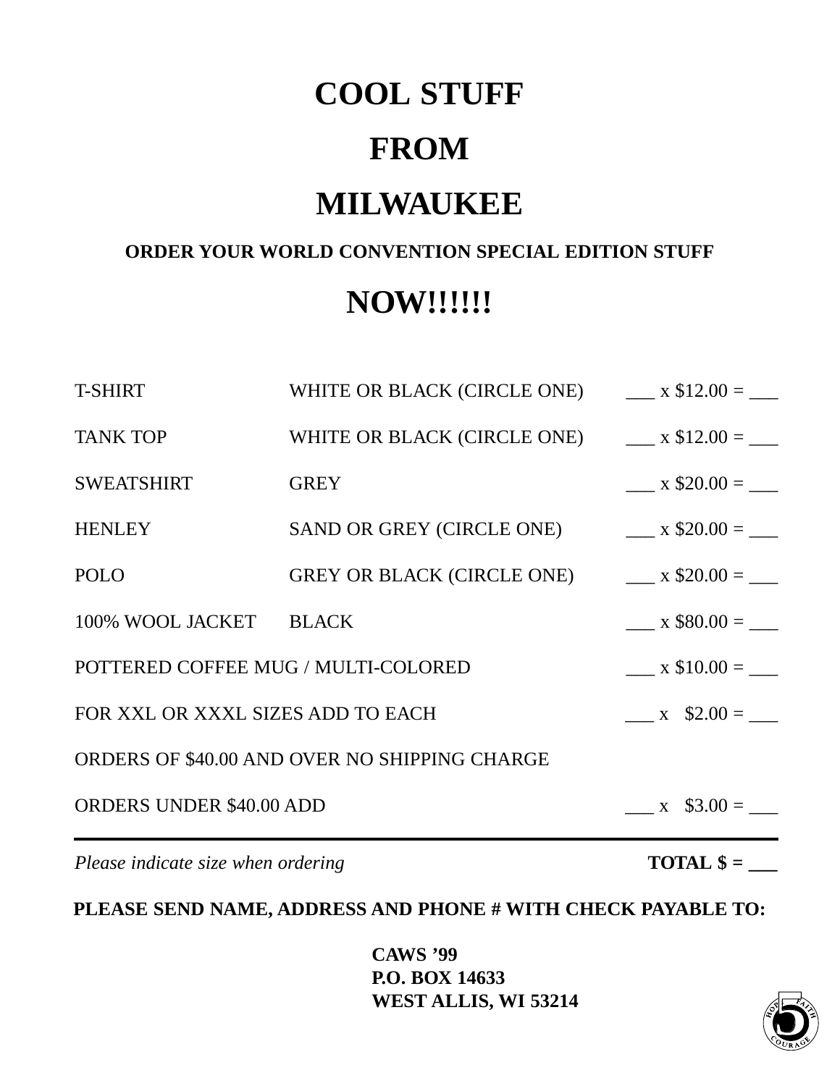## **COOL STUFF**

## **FROM**

## **MILWAUKEE**

### **ORDER YOUR WORLD CONVENTION SPECIAL EDITION STUFF**

## **NOW!!!!!!**

| Please indicate size when ordering            |                                          |                             |  |  |
|-----------------------------------------------|------------------------------------------|-----------------------------|--|--|
| <b>ORDERS UNDER \$40.00 ADD</b>               | $x \quad $3.00 =$                        |                             |  |  |
| ORDERS OF \$40.00 AND OVER NO SHIPPING CHARGE |                                          |                             |  |  |
| FOR XXL OR XXXL SIZES ADD TO EACH             | $x \quad $2.00 =$                        |                             |  |  |
| POTTERED COFFEE MUG / MULTI-COLORED           | $x \$10.00 =$                            |                             |  |  |
| 100% WOOL JACKET BLACK                        |                                          | $x$ \$80.00 =               |  |  |
| <b>POLO</b>                                   | GREY OR BLACK (CIRCLE ONE)               | $x$ \$20.00 = $\frac{1}{x}$ |  |  |
| <b>HENLEY</b>                                 | SAND OR GREY (CIRCLE ONE)                | $x$ \$20.00 = $\frac{ }{ }$ |  |  |
| <b>SWEATSHIRT</b>                             | <b>GREY</b>                              | $x$ \$20.00 = $\frac{ }{ }$ |  |  |
| <b>TANK TOP</b>                               | WHITE OR BLACK (CIRCLE ONE) $x $12.00 =$ |                             |  |  |
| <b>T-SHIRT</b>                                | WHITE OR BLACK (CIRCLE ONE)              | $x $12.00 =$                |  |  |

**PLEASE SEND NAME, ADDRESS AND PHONE # WITH CHECK PAYABLE TO:**

**CAWS '99 P.O. BOX 14633 WEST ALLIS, WI 53214 5**

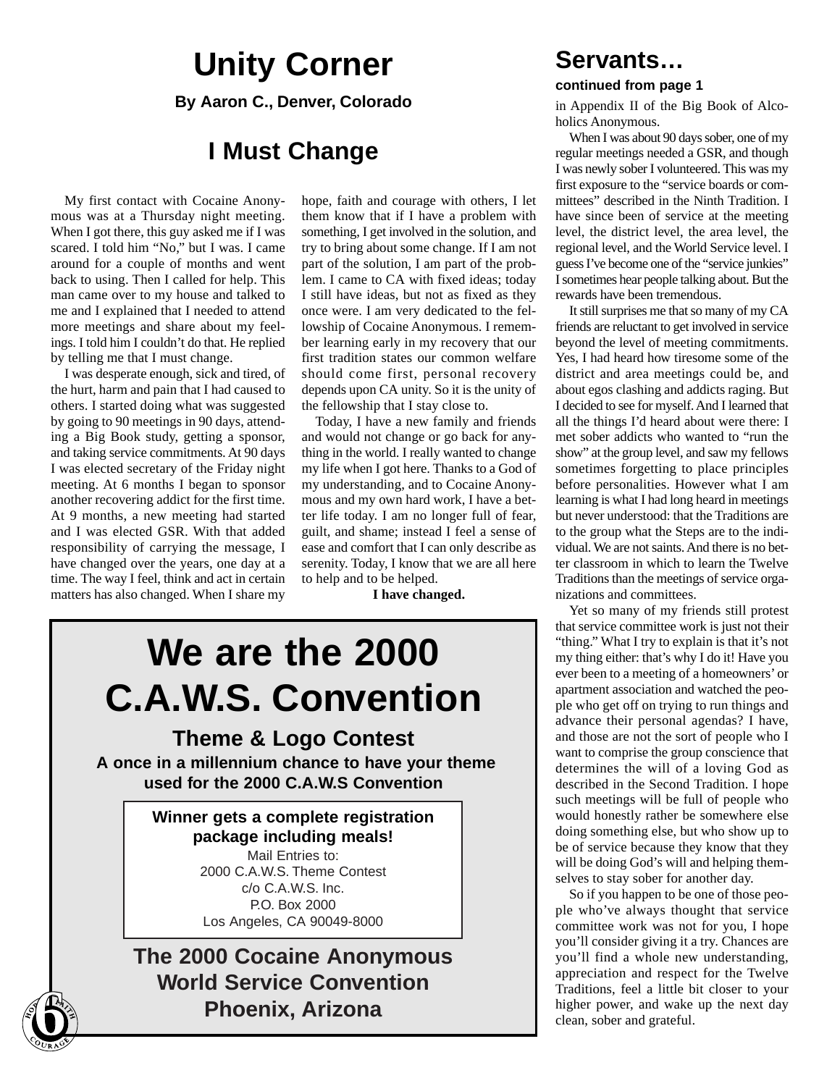## **Unity Corner**

**By Aaron C., Denver, Colorado**

### **I Must Change**

My first contact with Cocaine Anonymous was at a Thursday night meeting. When I got there, this guy asked me if I was scared. I told him "No," but I was. I came around for a couple of months and went back to using. Then I called for help. This man came over to my house and talked to me and I explained that I needed to attend more meetings and share about my feelings. I told him I couldn't do that. He replied by telling me that I must change.

I was desperate enough, sick and tired, of the hurt, harm and pain that I had caused to others. I started doing what was suggested by going to 90 meetings in 90 days, attending a Big Book study, getting a sponsor, and taking service commitments. At 90 days I was elected secretary of the Friday night meeting. At 6 months I began to sponsor another recovering addict for the first time. At 9 months, a new meeting had started and I was elected GSR. With that added responsibility of carrying the message, I have changed over the years, one day at a time. The way I feel, think and act in certain matters has also changed. When I share my

hope, faith and courage with others, I let them know that if I have a problem with something, I get involved in the solution, and try to bring about some change. If I am not part of the solution, I am part of the problem. I came to CA with fixed ideas; today I still have ideas, but not as fixed as they once were. I am very dedicated to the fellowship of Cocaine Anonymous. I remember learning early in my recovery that our first tradition states our common welfare should come first, personal recovery depends upon CA unity. So it is the unity of the fellowship that I stay close to.

Today, I have a new family and friends and would not change or go back for anything in the world. I really wanted to change my life when I got here. Thanks to a God of my understanding, and to Cocaine Anonymous and my own hard work, I have a better life today. I am no longer full of fear, guilt, and shame; instead I feel a sense of ease and comfort that I can only describe as serenity. Today, I know that we are all here to help and to be helped.

**I have changed.**

# **We are the 2000 C.A.W.S. Convention**

**Theme & Logo Contest**

**A once in a millennium chance to have your theme used for the 2000 C.A.W.S Convention**

> **Winner gets a complete registration package including meals!** Mail Entries to: 2000 C.A.W.S. Theme Contest c/o C.A.W.S. Inc. P.O. Box 2000 Los Angeles, CA 90049-8000

**The 2000 Cocaine Anonymous World Service Convention Phoenix, Arizona 6**

### **Servants…**

#### **continued from page 1**

in Appendix II of the Big Book of Alcoholics Anonymous.

When I was about 90 days sober, one of my regular meetings needed a GSR, and though I was newly sober I volunteered. This was my first exposure to the "service boards or committees" described in the Ninth Tradition. I have since been of service at the meeting level, the district level, the area level, the regional level, and the World Service level. I guess I've become one of the "service junkies" I sometimes hear people talking about. But the rewards have been tremendous.

It still surprises me that so many of my CA friends are reluctant to get involved in service beyond the level of meeting commitments. Yes, I had heard how tiresome some of the district and area meetings could be, and about egos clashing and addicts raging. But I decided to see for myself. And I learned that all the things I'd heard about were there: I met sober addicts who wanted to "run the show" at the group level, and saw my fellows sometimes forgetting to place principles before personalities. However what I am learning is what I had long heard in meetings but never understood: that the Traditions are to the group what the Steps are to the individual. We are not saints. And there is no better classroom in which to learn the Twelve Traditions than the meetings of service organizations and committees.

Yet so many of my friends still protest that service committee work is just not their "thing." What I try to explain is that it's not my thing either: that's why I do it! Have you ever been to a meeting of a homeowners' or apartment association and watched the people who get off on trying to run things and advance their personal agendas? I have, and those are not the sort of people who I want to comprise the group conscience that determines the will of a loving God as described in the Second Tradition. I hope such meetings will be full of people who would honestly rather be somewhere else doing something else, but who show up to be of service because they know that they will be doing God's will and helping themselves to stay sober for another day.

So if you happen to be one of those people who've always thought that service committee work was not for you, I hope you'll consider giving it a try. Chances are you'll find a whole new understanding, appreciation and respect for the Twelve Traditions, feel a little bit closer to your higher power, and wake up the next day clean, sober and grateful.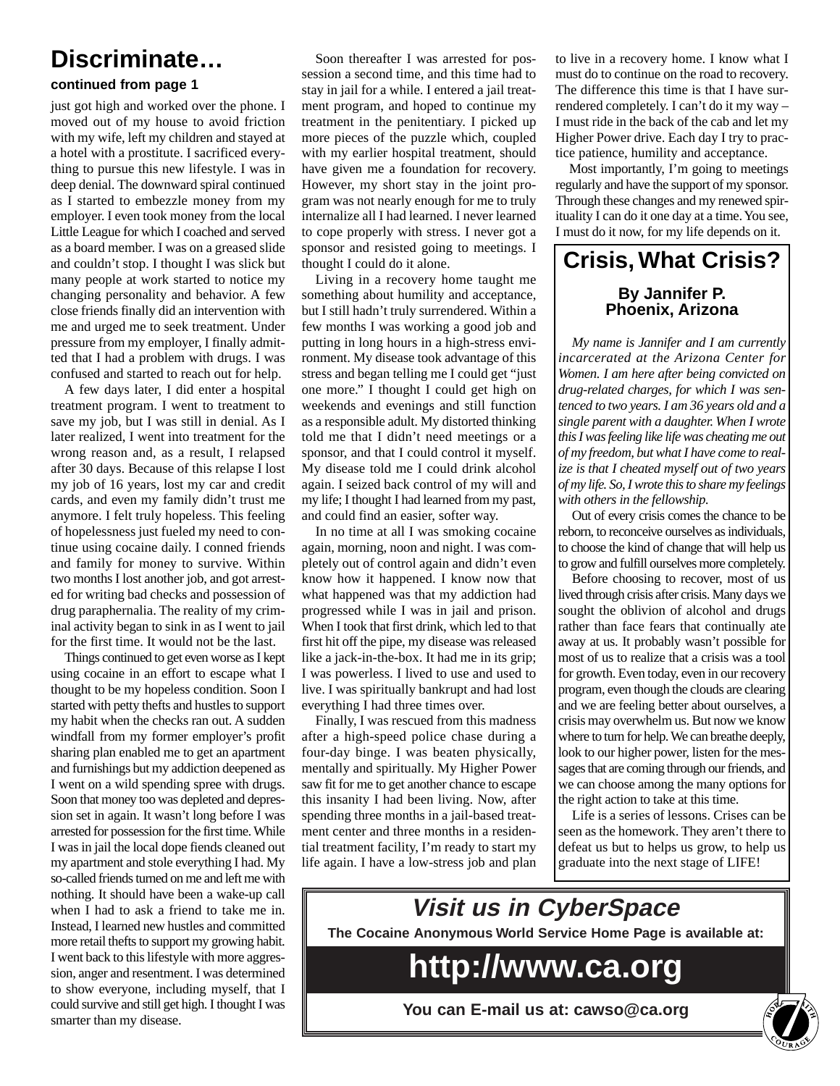### **Discriminate…**

#### **continued from page 1**

just got high and worked over the phone. I moved out of my house to avoid friction with my wife, left my children and stayed at a hotel with a prostitute. I sacrificed everything to pursue this new lifestyle. I was in deep denial. The downward spiral continued as I started to embezzle money from my employer. I even took money from the local Little League for which I coached and served as a board member. I was on a greased slide and couldn't stop. I thought I was slick but many people at work started to notice my changing personality and behavior. A few close friends finally did an intervention with me and urged me to seek treatment. Under pressure from my employer, I finally admitted that I had a problem with drugs. I was confused and started to reach out for help.

A few days later, I did enter a hospital treatment program. I went to treatment to save my job, but I was still in denial. As I later realized, I went into treatment for the wrong reason and, as a result, I relapsed after 30 days. Because of this relapse I lost my job of 16 years, lost my car and credit cards, and even my family didn't trust me anymore. I felt truly hopeless. This feeling of hopelessness just fueled my need to continue using cocaine daily. I conned friends and family for money to survive. Within two months I lost another job, and got arrested for writing bad checks and possession of drug paraphernalia. The reality of my criminal activity began to sink in as I went to jail for the first time. It would not be the last.

Things continued to get even worse as I kept using cocaine in an effort to escape what I thought to be my hopeless condition. Soon I started with petty thefts and hustles to support my habit when the checks ran out. A sudden windfall from my former employer's profit sharing plan enabled me to get an apartment and furnishings but my addiction deepened as I went on a wild spending spree with drugs. Soon that money too was depleted and depression set in again. It wasn't long before I was arrested for possession for the first time. While I was in jail the local dope fiends cleaned out my apartment and stole everything I had. My so-called friends turned on me and left me with nothing. It should have been a wake-up call when I had to ask a friend to take me in. Instead, I learned new hustles and committed more retail thefts to support my growing habit. I went back to this lifestyle with more aggression, anger and resentment. I was determined to show everyone, including myself, that I could survive and still get high. I thought I was smarter than my disease.

Soon thereafter I was arrested for possession a second time, and this time had to stay in jail for a while. I entered a jail treatment program, and hoped to continue my treatment in the penitentiary. I picked up more pieces of the puzzle which, coupled with my earlier hospital treatment, should have given me a foundation for recovery. However, my short stay in the joint program was not nearly enough for me to truly internalize all I had learned. I never learned to cope properly with stress. I never got a sponsor and resisted going to meetings. I thought I could do it alone.

Living in a recovery home taught me something about humility and acceptance, but I still hadn't truly surrendered. Within a few months I was working a good job and putting in long hours in a high-stress environment. My disease took advantage of this stress and began telling me I could get "just one more." I thought I could get high on weekends and evenings and still function as a responsible adult. My distorted thinking told me that I didn't need meetings or a sponsor, and that I could control it myself. My disease told me I could drink alcohol again. I seized back control of my will and my life; I thought I had learned from my past, and could find an easier, softer way.

In no time at all I was smoking cocaine again, morning, noon and night. I was completely out of control again and didn't even know how it happened. I know now that what happened was that my addiction had progressed while I was in jail and prison. When I took that first drink, which led to that first hit off the pipe, my disease was released like a jack-in-the-box. It had me in its grip; I was powerless. I lived to use and used to live. I was spiritually bankrupt and had lost everything I had three times over.

Finally, I was rescued from this madness after a high-speed police chase during a four-day binge. I was beaten physically, mentally and spiritually. My Higher Power saw fit for me to get another chance to escape this insanity I had been living. Now, after spending three months in a jail-based treatment center and three months in a residential treatment facility, I'm ready to start my life again. I have a low-stress job and plan

to live in a recovery home. I know what I must do to continue on the road to recovery. The difference this time is that I have surrendered completely. I can't do it my way – I must ride in the back of the cab and let my Higher Power drive. Each day I try to practice patience, humility and acceptance.

Most importantly, I'm going to meetings regularly and have the support of my sponsor. Through these changes and my renewed spirituality I can do it one day at a time. You see, I must do it now, for my life depends on it.

### **Crisis, What Crisis? By Jannifer P. Phoenix, Arizona**

*My name is Jannifer and I am currently incarcerated at the Arizona Center for Women. I am here after being convicted on drug-related charges, for which I was sentenced to two years. I am 36 years old and a single parent with a daughter. When I wrote this I was feeling like life was cheating me out of my freedom, but what I have come to realize is that I cheated myself out of two years of my life. So, I wrote this to share my feelings with others in the fellowship.*

Out of every crisis comes the chance to be reborn, to reconceive ourselves as individuals, to choose the kind of change that will help us to grow and fulfill ourselves more completely.

Before choosing to recover, most of us lived through crisis after crisis. Many days we sought the oblivion of alcohol and drugs rather than face fears that continually ate away at us. It probably wasn't possible for most of us to realize that a crisis was a tool for growth. Even today, even in our recovery program, even though the clouds are clearing and we are feeling better about ourselves, a crisis may overwhelm us. But now we know where to turn for help. We can breathe deeply, look to our higher power, listen for the messages that are coming through our friends, and we can choose among the many options for the right action to take at this time.

Life is a series of lessons. Crises can be seen as the homework. They aren't there to defeat us but to helps us grow, to help us graduate into the next stage of LIFE!



**You can E-mail us at: cawso@ca.org**